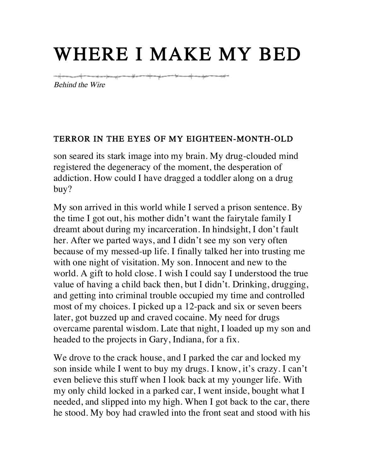# WHERE I MAKE MY BED

<del>๛๛๛๛๚๎๛๛๛๚๛๛๚๛๛๛๚๛๚๛๛๚๛๛๚๛๛๚๛๛๛๛๚</del>๛

Behind the Wire

#### TERROR IN THE EYES OF MY EIGHTEEN-MONTH-OLD

son seared its stark image into my brain. My drug-clouded mind registered the degeneracy of the moment, the desperation of addiction. How could I have dragged a toddler along on a drug buy?

My son arrived in this world while I served a prison sentence. By the time I got out, his mother didn't want the fairytale family I dreamt about during my incarceration. In hindsight, I don't fault her. After we parted ways, and I didn't see my son very often because of my messed-up life. I finally talked her into trusting me with one night of visitation. My son. Innocent and new to the world. A gift to hold close. I wish I could say I understood the true value of having a child back then, but I didn't. Drinking, drugging, and getting into criminal trouble occupied my time and controlled most of my choices. I picked up a 12-pack and six or seven beers later, got buzzed up and craved cocaine. My need for drugs overcame parental wisdom. Late that night, I loaded up my son and headed to the projects in Gary, Indiana, for a fix.

We drove to the crack house, and I parked the car and locked my son inside while I went to buy my drugs. I know, it's crazy. I can't even believe this stuff when I look back at my younger life. With my only child locked in a parked car, I went inside, bought what I needed, and slipped into my high. When I got back to the car, there he stood. My boy had crawled into the front seat and stood with his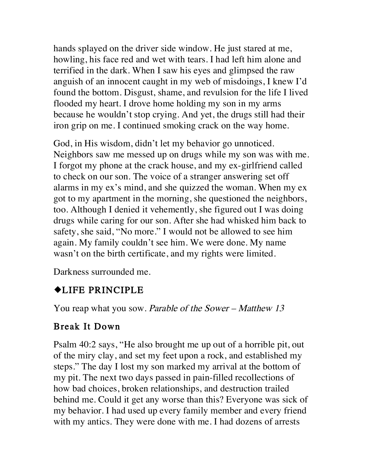hands splayed on the driver side window. He just stared at me, howling, his face red and wet with tears. I had left him alone and terrified in the dark. When I saw his eyes and glimpsed the raw anguish of an innocent caught in my web of misdoings, I knew I'd found the bottom. Disgust, shame, and revulsion for the life I lived flooded my heart. I drove home holding my son in my arms because he wouldn't stop crying. And yet, the drugs still had their iron grip on me. I continued smoking crack on the way home.

God, in His wisdom, didn't let my behavior go unnoticed. Neighbors saw me messed up on drugs while my son was with me. I forgot my phone at the crack house, and my ex-girlfriend called to check on our son. The voice of a stranger answering set off alarms in my ex's mind, and she quizzed the woman. When my ex got to my apartment in the morning, she questioned the neighbors, too. Although I denied it vehemently, she figured out I was doing drugs while caring for our son. After she had whisked him back to safety, she said, "No more." I would not be allowed to see him again. My family couldn't see him. We were done. My name wasn't on the birth certificate, and my rights were limited.

Darkness surrounded me.

#### ¿LIFE PRINCIPLE

You reap what you sow. Parable of the Sower – Matthew 13

#### Break It Down

Psalm 40:2 says, "He also brought me up out of a horrible pit, out of the miry clay, and set my feet upon a rock, and established my steps." The day I lost my son marked my arrival at the bottom of my pit. The next two days passed in pain-filled recollections of how bad choices, broken relationships, and destruction trailed behind me. Could it get any worse than this? Everyone was sick of my behavior. I had used up every family member and every friend with my antics. They were done with me. I had dozens of arrests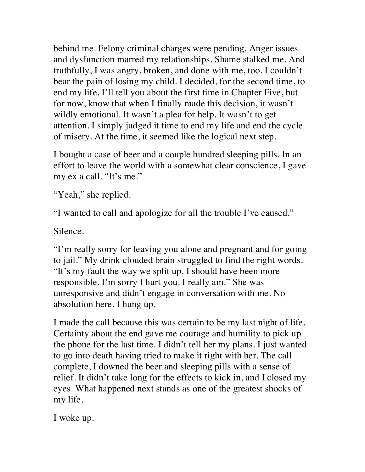behind me. Felony criminal charges were pending. Anger issues and dysfunction marred my relationships. Shame stalked me. And truthfully, I was angry, broken, and done with me, too. I couldn't bear the pain of losing my child. I decided, for the second time, to end my life. I'll tell you about the first time in Chapter Five, but for now, know that when I finally made this decision, it wasn't wildly emotional. It wasn't a plea for help. It wasn't to get attention. I simply judged it time to end my life and end the cycle of misery. At the time, it seemed like the logical next step.

I bought a case of beer and a couple hundred sleeping pills. In an effort to leave the world with a somewhat clear conscience, I gave my ex a call. "It's me."

"Yeah," she replied.

"I wanted to call and apologize for all the trouble I've caused."

Silence.

"I'm really sorry for leaving you alone and pregnant and for going to jail." My drink clouded brain struggled to find the right words. "It's my fault the way we split up. I should have been more responsible. I'm sorry I hurt you. I really am." She was unresponsive and didn't engage in conversation with me. No absolution here. I hung up.

I made the call because this was certain to be my last night of life. Certainty about the end gave me courage and humility to pick up the phone for the last time. I didn't tell her my plans. I just wanted to go into death having tried to make it right with her. The call complete, I downed the beer and sleeping pills with a sense of relief. It didn't take long for the effects to kick in, and I closed my eyes. What happened next stands as one of the greatest shocks of my life.

I woke up.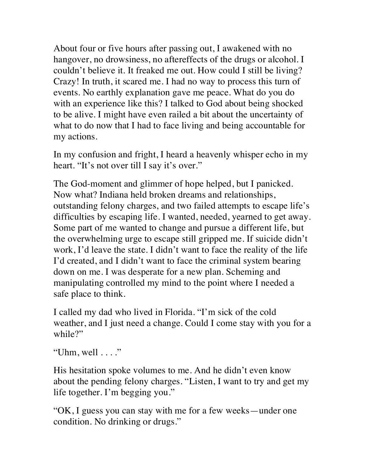About four or five hours after passing out, I awakened with no hangover, no drowsiness, no aftereffects of the drugs or alcohol. I couldn't believe it. It freaked me out. How could I still be living? Crazy! In truth, it scared me. I had no way to process this turn of events. No earthly explanation gave me peace. What do you do with an experience like this? I talked to God about being shocked to be alive. I might have even railed a bit about the uncertainty of what to do now that I had to face living and being accountable for my actions.

In my confusion and fright, I heard a heavenly whisper echo in my heart. "It's not over till I say it's over."

The God-moment and glimmer of hope helped, but I panicked. Now what? Indiana held broken dreams and relationships, outstanding felony charges, and two failed attempts to escape life's difficulties by escaping life. I wanted, needed, yearned to get away. Some part of me wanted to change and pursue a different life, but the overwhelming urge to escape still gripped me. If suicide didn't work, I'd leave the state. I didn't want to face the reality of the life I'd created, and I didn't want to face the criminal system bearing down on me. I was desperate for a new plan. Scheming and manipulating controlled my mind to the point where I needed a safe place to think.

I called my dad who lived in Florida. "I'm sick of the cold weather, and I just need a change. Could I come stay with you for a while?"

"Uhm, well  $\dots$ "

His hesitation spoke volumes to me. And he didn't even know about the pending felony charges. "Listen, I want to try and get my life together. I'm begging you."

"OK, I guess you can stay with me for a few weeks—under one condition. No drinking or drugs."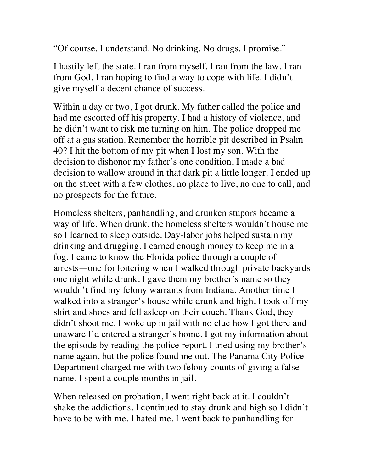"Of course. I understand. No drinking. No drugs. I promise."

I hastily left the state. I ran from myself. I ran from the law. I ran from God. I ran hoping to find a way to cope with life. I didn't give myself a decent chance of success.

Within a day or two, I got drunk. My father called the police and had me escorted off his property. I had a history of violence, and he didn't want to risk me turning on him. The police dropped me off at a gas station. Remember the horrible pit described in Psalm 40? I hit the bottom of my pit when I lost my son. With the decision to dishonor my father's one condition, I made a bad decision to wallow around in that dark pit a little longer. I ended up on the street with a few clothes, no place to live, no one to call, and no prospects for the future.

Homeless shelters, panhandling, and drunken stupors became a way of life. When drunk, the homeless shelters wouldn't house me so I learned to sleep outside. Day-labor jobs helped sustain my drinking and drugging. I earned enough money to keep me in a fog. I came to know the Florida police through a couple of arrests—one for loitering when I walked through private backyards one night while drunk. I gave them my brother's name so they wouldn't find my felony warrants from Indiana. Another time I walked into a stranger's house while drunk and high. I took off my shirt and shoes and fell asleep on their couch. Thank God, they didn't shoot me. I woke up in jail with no clue how I got there and unaware I'd entered a stranger's home. I got my information about the episode by reading the police report. I tried using my brother's name again, but the police found me out. The Panama City Police Department charged me with two felony counts of giving a false name. I spent a couple months in jail.

When released on probation, I went right back at it. I couldn't shake the addictions. I continued to stay drunk and high so I didn't have to be with me. I hated me. I went back to panhandling for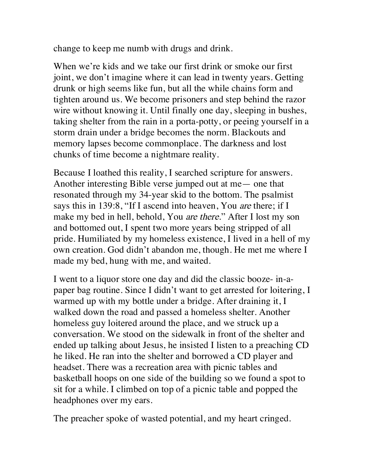change to keep me numb with drugs and drink.

When we're kids and we take our first drink or smoke our first joint, we don't imagine where it can lead in twenty years. Getting drunk or high seems like fun, but all the while chains form and tighten around us. We become prisoners and step behind the razor wire without knowing it. Until finally one day, sleeping in bushes, taking shelter from the rain in a porta-potty, or peeing yourself in a storm drain under a bridge becomes the norm. Blackouts and memory lapses become commonplace. The darkness and lost chunks of time become a nightmare reality.

Because I loathed this reality, I searched scripture for answers. Another interesting Bible verse jumped out at me— one that resonated through my 34-year skid to the bottom. The psalmist says this in 139:8, "If I ascend into heaven, You are there; if I make my bed in hell, behold, You are there." After I lost my son and bottomed out, I spent two more years being stripped of all pride. Humiliated by my homeless existence, I lived in a hell of my own creation. God didn't abandon me, though. He met me where I made my bed, hung with me, and waited.

I went to a liquor store one day and did the classic booze- in-apaper bag routine. Since I didn't want to get arrested for loitering, I warmed up with my bottle under a bridge. After draining it, I walked down the road and passed a homeless shelter. Another homeless guy loitered around the place, and we struck up a conversation. We stood on the sidewalk in front of the shelter and ended up talking about Jesus, he insisted I listen to a preaching CD he liked. He ran into the shelter and borrowed a CD player and headset. There was a recreation area with picnic tables and basketball hoops on one side of the building so we found a spot to sit for a while. I climbed on top of a picnic table and popped the headphones over my ears.

The preacher spoke of wasted potential, and my heart cringed.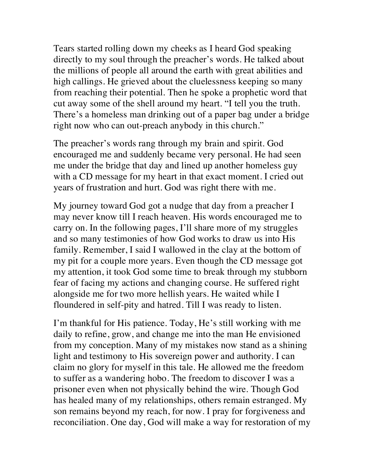Tears started rolling down my cheeks as I heard God speaking directly to my soul through the preacher's words. He talked about the millions of people all around the earth with great abilities and high callings. He grieved about the cluelessness keeping so many from reaching their potential. Then he spoke a prophetic word that cut away some of the shell around my heart. "I tell you the truth. There's a homeless man drinking out of a paper bag under a bridge right now who can out-preach anybody in this church."

The preacher's words rang through my brain and spirit. God encouraged me and suddenly became very personal. He had seen me under the bridge that day and lined up another homeless guy with a CD message for my heart in that exact moment. I cried out years of frustration and hurt. God was right there with me.

My journey toward God got a nudge that day from a preacher I may never know till I reach heaven. His words encouraged me to carry on. In the following pages, I'll share more of my struggles and so many testimonies of how God works to draw us into His family. Remember, I said I wallowed in the clay at the bottom of my pit for a couple more years. Even though the CD message got my attention, it took God some time to break through my stubborn fear of facing my actions and changing course. He suffered right alongside me for two more hellish years. He waited while I floundered in self-pity and hatred. Till I was ready to listen.

I'm thankful for His patience. Today, He's still working with me daily to refine, grow, and change me into the man He envisioned from my conception. Many of my mistakes now stand as a shining light and testimony to His sovereign power and authority. I can claim no glory for myself in this tale. He allowed me the freedom to suffer as a wandering hobo. The freedom to discover I was a prisoner even when not physically behind the wire. Though God has healed many of my relationships, others remain estranged. My son remains beyond my reach, for now. I pray for forgiveness and reconciliation. One day, God will make a way for restoration of my